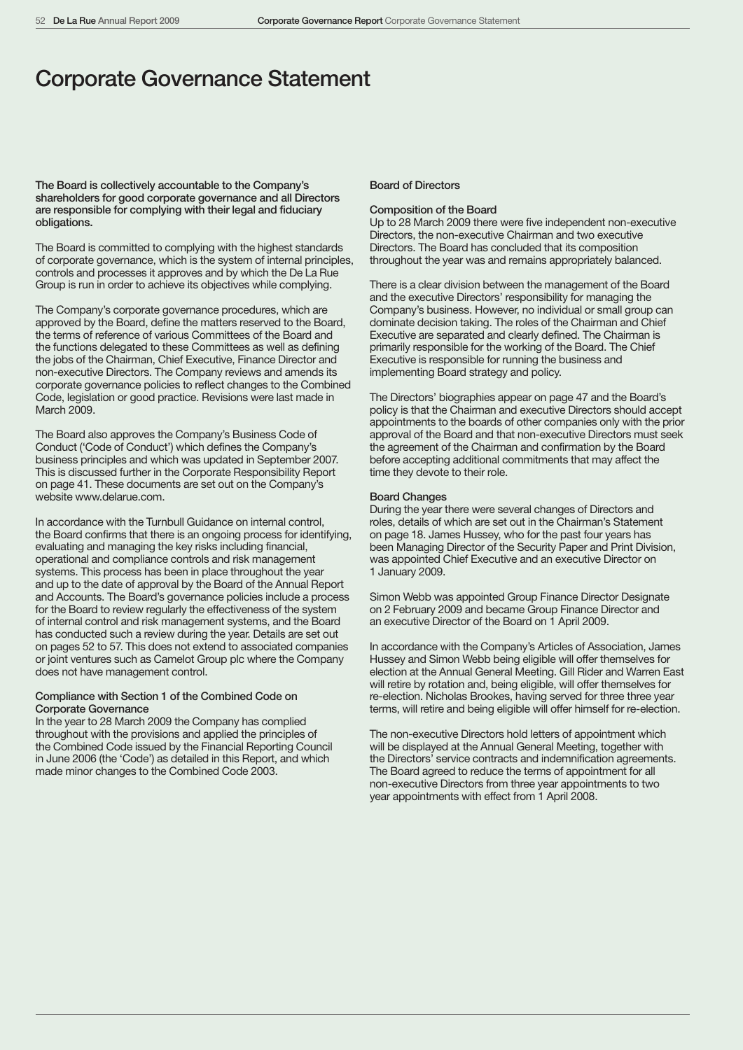# Corporate Governance Statement

The Board is collectively accountable to the Company's shareholders for good corporate governance and all Directors are responsible for complying with their legal and fiduciary obligations.

The Board is committed to complying with the highest standards of corporate governance, which is the system of internal principles, controls and processes it approves and by which the De La Rue Group is run in order to achieve its objectives while complying.

The Company's corporate governance procedures, which are approved by the Board, define the matters reserved to the Board, the terms of reference of various Committees of the Board and the functions delegated to these Committees as well as defining the jobs of the Chairman, Chief Executive, Finance Director and non-executive Directors. The Company reviews and amends its corporate governance policies to reflect changes to the Combined Code, legislation or good practice. Revisions were last made in March 2009

The Board also approves the Company's Business Code of Conduct ('Code of Conduct') which defines the Company's business principles and which was updated in September 2007. This is discussed further in the Corporate Responsibility Report on page 41. These documents are set out on the Company's website www.delarue.com.

In accordance with the Turnbull Guidance on internal control, the Board confirms that there is an ongoing process for identifying, evaluating and managing the key risks including financial, operational and compliance controls and risk management systems. This process has been in place throughout the year and up to the date of approval by the Board of the Annual Report and Accounts. The Board's governance policies include a process for the Board to review regularly the effectiveness of the system of internal control and risk management systems, and the Board has conducted such a review during the year. Details are set out on pages 52 to 57. This does not extend to associated companies or joint ventures such as Camelot Group plc where the Company does not have management control.

# Compliance with Section 1 of the Combined Code on Corporate Governance

In the year to 28 March 2009 the Company has complied throughout with the provisions and applied the principles of the Combined Code issued by the Financial Reporting Council in June 2006 (the 'Code') as detailed in this Report, and which made minor changes to the Combined Code 2003.

# Board of Directors

#### Composition of the Board

Up to 28 March 2009 there were five independent non-executive Directors, the non-executive Chairman and two executive Directors. The Board has concluded that its composition throughout the year was and remains appropriately balanced.

There is a clear division between the management of the Board and the executive Directors' responsibility for managing the Company's business. However, no individual or small group can dominate decision taking. The roles of the Chairman and Chief Executive are separated and clearly defined. The Chairman is primarily responsible for the working of the Board. The Chief Executive is responsible for running the business and implementing Board strategy and policy.

The Directors' biographies appear on page 47 and the Board's policy is that the Chairman and executive Directors should accept appointments to the boards of other companies only with the prior approval of the Board and that non-executive Directors must seek the agreement of the Chairman and confirmation by the Board before accepting additional commitments that may affect the time they devote to their role.

### Board Changes

During the year there were several changes of Directors and roles, details of which are set out in the Chairman's Statement on page 18. James Hussey, who for the past four years has been Managing Director of the Security Paper and Print Division, was appointed Chief Executive and an executive Director on 1 January 2009.

Simon Webb was appointed Group Finance Director Designate on 2 February 2009 and became Group Finance Director and an executive Director of the Board on 1 April 2009.

In accordance with the Company's Articles of Association, James Hussey and Simon Webb being eligible will offer themselves for election at the Annual General Meeting. Gill Rider and Warren East will retire by rotation and, being eligible, will offer themselves for re-election. Nicholas Brookes, having served for three three year terms, will retire and being eligible will offer himself for re-election.

The non-executive Directors hold letters of appointment which will be displayed at the Annual General Meeting, together with the Directors' service contracts and indemnification agreements. The Board agreed to reduce the terms of appointment for all non-executive Directors from three year appointments to two year appointments with effect from 1 April 2008.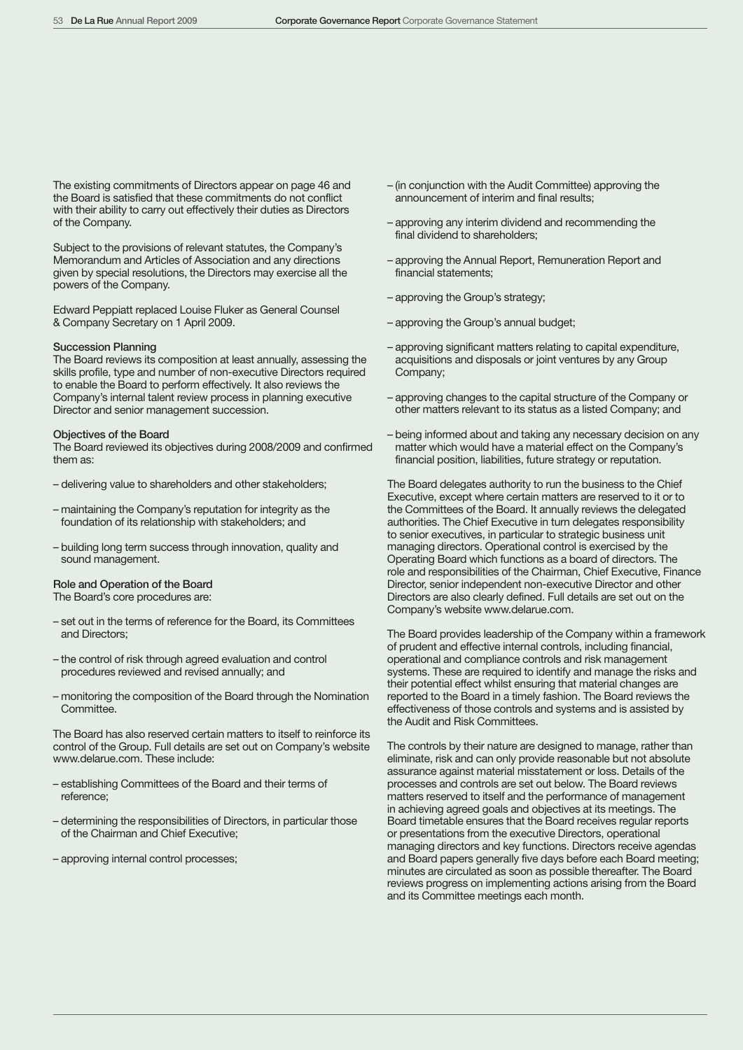The existing commitments of Directors appear on page 46 and the Board is satisfied that these commitments do not conflict with their ability to carry out effectively their duties as Directors of the Company.

Subject to the provisions of relevant statutes, the Company's Memorandum and Articles of Association and any directions given by special resolutions, the Directors may exercise all the powers of the Company.

Edward Peppiatt replaced Louise Fluker as General Counsel & Company Secretary on 1 April 2009.

# Succession Planning

The Board reviews its composition at least annually, assessing the skills profile, type and number of non-executive Directors required to enable the Board to perform effectively. It also reviews the Company's internal talent review process in planning executive Director and senior management succession.

### Objectives of the Board

The Board reviewed its objectives during 2008/2009 and confirmed them as:

- delivering value to shareholders and other stakeholders;
- maintaining the Company's reputation for integrity as the foundation of its relationship with stakeholders; and
- building long term success through innovation, quality and sound management.

# Role and Operation of the Board

The Board's core procedures are:

- set out in the terms of reference for the Board, its Committees and Directors;
- the control of risk through agreed evaluation and control procedures reviewed and revised annually; and
- monitoring the composition of the Board through the Nomination Committee.

The Board has also reserved certain matters to itself to reinforce its control of the Group. Full details are set out on Company's website www.delarue.com. These include:

- establishing Committees of the Board and their terms of reference;
- determining the responsibilities of Directors, in particular those of the Chairman and Chief Executive;
- approving internal control processes;
- (in conjunction with the Audit Committee) approving the announcement of interim and final results;
- approving any interim dividend and recommending the final dividend to shareholders;
- approving the Annual Report, Remuneration Report and financial statements;
- approving the Group's strategy;
- approving the Group's annual budget;
- approving significant matters relating to capital expenditure, acquisitions and disposals or joint ventures by any Group Company;
- approving changes to the capital structure of the Company or other matters relevant to its status as a listed Company; and
- being informed about and taking any necessary decision on any matter which would have a material effect on the Company's financial position, liabilities, future strategy or reputation.

The Board delegates authority to run the business to the Chief Executive, except where certain matters are reserved to it or to the Committees of the Board. It annually reviews the delegated authorities. The Chief Executive in turn delegates responsibility to senior executives, in particular to strategic business unit managing directors. Operational control is exercised by the Operating Board which functions as a board of directors. The role and responsibilities of the Chairman, Chief Executive, Finance Director, senior independent non-executive Director and other Directors are also clearly defined. Full details are set out on the Company's website www.delarue.com.

The Board provides leadership of the Company within a framework of prudent and effective internal controls, including financial, operational and compliance controls and risk management systems. These are required to identify and manage the risks and their potential effect whilst ensuring that material changes are reported to the Board in a timely fashion. The Board reviews the effectiveness of those controls and systems and is assisted by the Audit and Risk Committees.

The controls by their nature are designed to manage, rather than eliminate, risk and can only provide reasonable but not absolute assurance against material misstatement or loss. Details of the processes and controls are set out below. The Board reviews matters reserved to itself and the performance of management in achieving agreed goals and objectives at its meetings. The Board timetable ensures that the Board receives regular reports or presentations from the executive Directors, operational managing directors and key functions. Directors receive agendas and Board papers generally five days before each Board meeting; minutes are circulated as soon as possible thereafter. The Board reviews progress on implementing actions arising from the Board and its Committee meetings each month.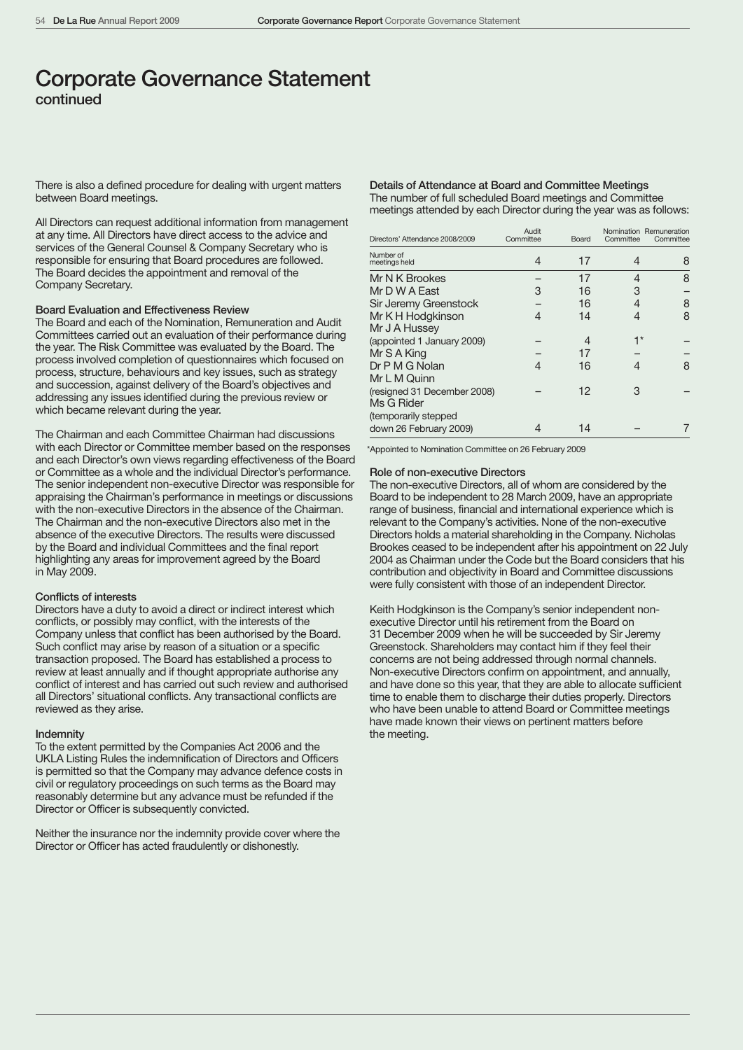# Corporate Governance Statement continued

There is also a defined procedure for dealing with urgent matters between Board meetings.

All Directors can request additional information from management at any time. All Directors have direct access to the advice and services of the General Counsel & Company Secretary who is responsible for ensuring that Board procedures are followed. The Board decides the appointment and removal of the Company Secretary.

#### Board Evaluation and Effectiveness Review

The Board and each of the Nomination, Remuneration and Audit Committees carried out an evaluation of their performance during the year. The Risk Committee was evaluated by the Board. The process involved completion of questionnaires which focused on process, structure, behaviours and key issues, such as strategy and succession, against delivery of the Board's objectives and addressing any issues identified during the previous review or which became relevant during the year.

The Chairman and each Committee Chairman had discussions with each Director or Committee member based on the responses and each Director's own views regarding effectiveness of the Board or Committee as a whole and the individual Director's performance. The senior independent non-executive Director was responsible for appraising the Chairman's performance in meetings or discussions with the non-executive Directors in the absence of the Chairman. The Chairman and the non-executive Directors also met in the absence of the executive Directors. The results were discussed by the Board and individual Committees and the final report highlighting any areas for improvement agreed by the Board in May 2009.

#### Conflicts of interests

Directors have a duty to avoid a direct or indirect interest which conflicts, or possibly may conflict, with the interests of the Company unless that conflict has been authorised by the Board. Such conflict may arise by reason of a situation or a specific transaction proposed. The Board has established a process to review at least annually and if thought appropriate authorise any conflict of interest and has carried out such review and authorised all Directors' situational conflicts. Any transactional conflicts are reviewed as they arise.

#### **Indemnity**

To the extent permitted by the Companies Act 2006 and the UKLA Listing Rules the indemnification of Directors and Officers is permitted so that the Company may advance defence costs in civil or regulatory proceedings on such terms as the Board may reasonably determine but any advance must be refunded if the Director or Officer is subsequently convicted.

Neither the insurance nor the indemnity provide cover where the Director or Officer has acted fraudulently or dishonestly.

# Details of Attendance at Board and Committee Meetings The number of full scheduled Board meetings and Committee

meetings attended by each Director during the year was as follows:

| Directors' Attendance 2008/2009 | Audit<br>Committee | Board | Committee | Nomination Remuneration<br>Committee |
|---------------------------------|--------------------|-------|-----------|--------------------------------------|
| Number of<br>meetings held      | 4                  | 17    | 4         | 8                                    |
| Mr N K Brookes                  |                    | 17    | 4         | 8                                    |
| Mr D W A East                   | З                  | 16    | З         |                                      |
| Sir Jeremy Greenstock           |                    | 16    | 4         | 8                                    |
| Mr K H Hodgkinson               | 4                  | 14    | 4         | 8                                    |
| Mr J A Hussey                   |                    |       |           |                                      |
| (appointed 1 January 2009)      |                    | 4     | 1*        |                                      |
| Mr S A King                     |                    | 17    |           |                                      |
| Dr P M G Nolan                  | 4                  | 16    | 4         | 8                                    |
| Mr L M Quinn                    |                    |       |           |                                      |
| (resigned 31 December 2008)     |                    | 12    | З         |                                      |
| Ms G Rider                      |                    |       |           |                                      |
| (temporarily stepped            |                    |       |           |                                      |
| down 26 February 2009)          |                    | 14    |           |                                      |

\*Appointed to Nomination Committee on 26 February 2009

#### Role of non-executive Directors

The non-executive Directors, all of whom are considered by the Board to be independent to 28 March 2009, have an appropriate range of business, financial and international experience which is relevant to the Company's activities. None of the non-executive Directors holds a material shareholding in the Company. Nicholas Brookes ceased to be independent after his appointment on 22 July 2004 as Chairman under the Code but the Board considers that his contribution and objectivity in Board and Committee discussions were fully consistent with those of an independent Director.

Keith Hodgkinson is the Company's senior independent nonexecutive Director until his retirement from the Board on 31 December 2009 when he will be succeeded by Sir Jeremy Greenstock. Shareholders may contact him if they feel their concerns are not being addressed through normal channels. Non-executive Directors confirm on appointment, and annually, and have done so this year, that they are able to allocate sufficient time to enable them to discharge their duties properly. Directors who have been unable to attend Board or Committee meetings have made known their views on pertinent matters before the meeting.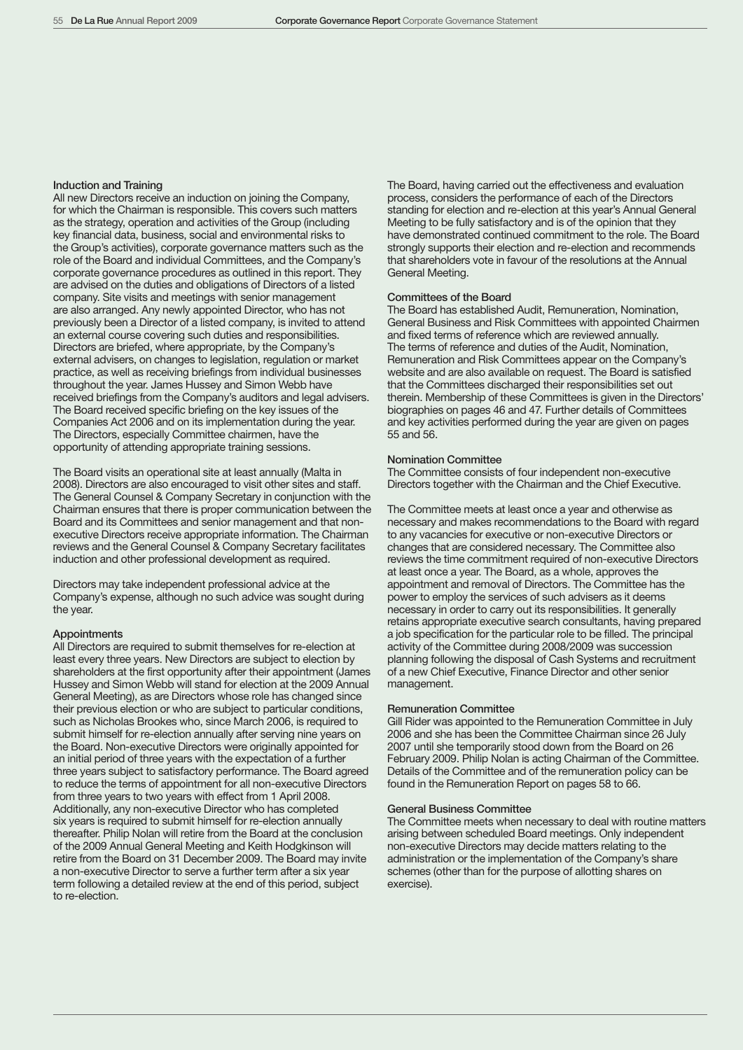# Induction and Training

All new Directors receive an induction on joining the Company, for which the Chairman is responsible. This covers such matters as the strategy, operation and activities of the Group (including key financial data, business, social and environmental risks to the Group's activities), corporate governance matters such as the role of the Board and individual Committees, and the Company's corporate governance procedures as outlined in this report. They are advised on the duties and obligations of Directors of a listed company. Site visits and meetings with senior management are also arranged. Any newly appointed Director, who has not previously been a Director of a listed company, is invited to attend an external course covering such duties and responsibilities. Directors are briefed, where appropriate, by the Company's external advisers, on changes to legislation, regulation or market practice, as well as receiving briefings from individual businesses throughout the year. James Hussey and Simon Webb have received briefings from the Company's auditors and legal advisers. The Board received specific briefing on the key issues of the Companies Act 2006 and on its implementation during the year. The Directors, especially Committee chairmen, have the opportunity of attending appropriate training sessions.

The Board visits an operational site at least annually (Malta in 2008). Directors are also encouraged to visit other sites and staff. The General Counsel & Company Secretary in conjunction with the Chairman ensures that there is proper communication between the Board and its Committees and senior management and that nonexecutive Directors receive appropriate information. The Chairman reviews and the General Counsel & Company Secretary facilitates induction and other professional development as required.

Directors may take independent professional advice at the Company's expense, although no such advice was sought during the year.

#### **Appointments**

All Directors are required to submit themselves for re-election at least every three years. New Directors are subject to election by shareholders at the first opportunity after their appointment (James Hussey and Simon Webb will stand for election at the 2009 Annual General Meeting), as are Directors whose role has changed since their previous election or who are subject to particular conditions, such as Nicholas Brookes who, since March 2006, is required to submit himself for re-election annually after serving nine years on the Board. Non-executive Directors were originally appointed for an initial period of three years with the expectation of a further three years subject to satisfactory performance. The Board agreed to reduce the terms of appointment for all non-executive Directors from three years to two years with effect from 1 April 2008. Additionally, any non-executive Director who has completed six years is required to submit himself for re-election annually thereafter. Philip Nolan will retire from the Board at the conclusion of the 2009 Annual General Meeting and Keith Hodgkinson will retire from the Board on 31 December 2009. The Board may invite a non-executive Director to serve a further term after a six year term following a detailed review at the end of this period, subject to re-election.

The Board, having carried out the effectiveness and evaluation process, considers the performance of each of the Directors standing for election and re-election at this year's Annual General Meeting to be fully satisfactory and is of the opinion that they have demonstrated continued commitment to the role. The Board strongly supports their election and re-election and recommends that shareholders vote in favour of the resolutions at the Annual General Meeting.

#### Committees of the Board

The Board has established Audit, Remuneration, Nomination, General Business and Risk Committees with appointed Chairmen and fixed terms of reference which are reviewed annually. The terms of reference and duties of the Audit, Nomination, Remuneration and Risk Committees appear on the Company's website and are also available on request. The Board is satisfied that the Committees discharged their responsibilities set out therein. Membership of these Committees is given in the Directors' biographies on pages 46 and 47. Further details of Committees and key activities performed during the year are given on pages 55 and 56.

# Nomination Committee

The Committee consists of four independent non-executive Directors together with the Chairman and the Chief Executive.

The Committee meets at least once a year and otherwise as necessary and makes recommendations to the Board with regard to any vacancies for executive or non-executive Directors or changes that are considered necessary. The Committee also reviews the time commitment required of non-executive Directors at least once a year. The Board, as a whole, approves the appointment and removal of Directors. The Committee has the power to employ the services of such advisers as it deems necessary in order to carry out its responsibilities. It generally retains appropriate executive search consultants, having prepared a job specification for the particular role to be filled. The principal activity of the Committee during 2008/2009 was succession planning following the disposal of Cash Systems and recruitment of a new Chief Executive, Finance Director and other senior management.

#### Remuneration Committee

Gill Rider was appointed to the Remuneration Committee in July 2006 and she has been the Committee Chairman since 26 July 2007 until she temporarily stood down from the Board on 26 February 2009. Philip Nolan is acting Chairman of the Committee. Details of the Committee and of the remuneration policy can be found in the Remuneration Report on pages 58 to 66.

#### General Business Committee

The Committee meets when necessary to deal with routine matters arising between scheduled Board meetings. Only independent non-executive Directors may decide matters relating to the administration or the implementation of the Company's share schemes (other than for the purpose of allotting shares on exercise).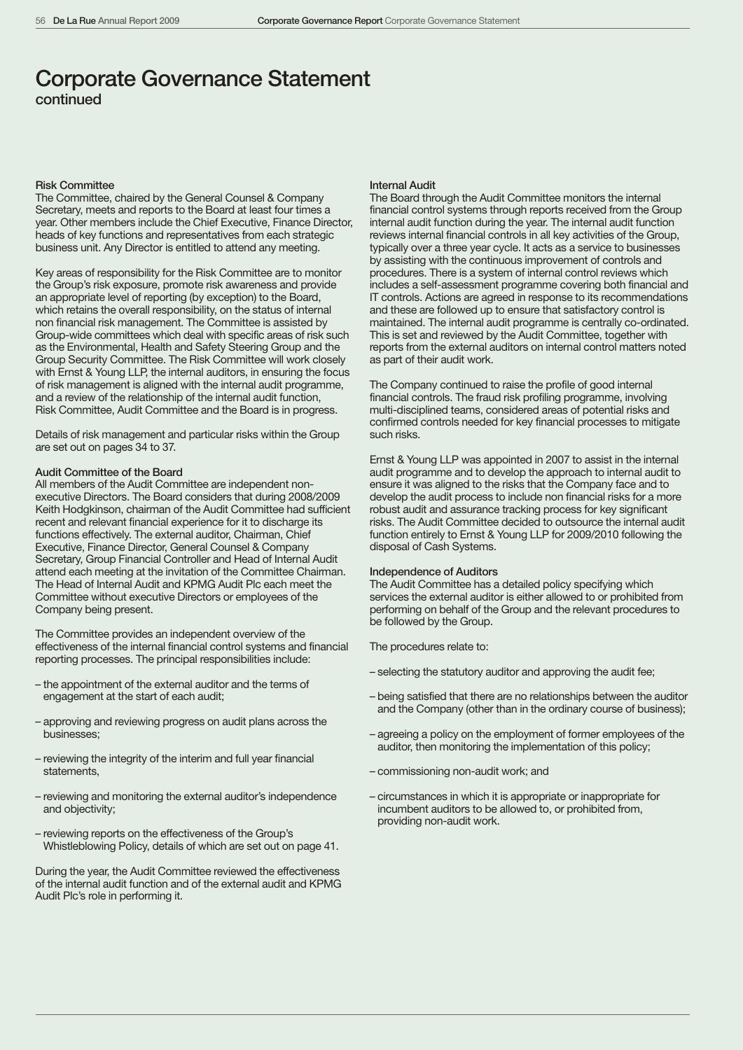# Corporate Governance Statement continued

# Risk Committee

The Committee, chaired by the General Counsel & Company Secretary, meets and reports to the Board at least four times a year. Other members include the Chief Executive, Finance Director, heads of key functions and representatives from each strategic business unit. Any Director is entitled to attend any meeting.

Key areas of responsibility for the Risk Committee are to monitor the Group's risk exposure, promote risk awareness and provide an appropriate level of reporting (by exception) to the Board, which retains the overall responsibility, on the status of internal non financial risk management. The Committee is assisted by Group-wide committees which deal with specific areas of risk such as the Environmental, Health and Safety Steering Group and the Group Security Committee. The Risk Committee will work closely with Ernst & Young LLP, the internal auditors, in ensuring the focus of risk management is aligned with the internal audit programme, and a review of the relationship of the internal audit function, Risk Committee, Audit Committee and the Board is in progress.

Details of risk management and particular risks within the Group are set out on pages 34 to 37.

# Audit Committee of the Board

All members of the Audit Committee are independent nonexecutive Directors. The Board considers that during 2008/2009 Keith Hodgkinson, chairman of the Audit Committee had sufficient recent and relevant financial experience for it to discharge its functions effectively. The external auditor, Chairman, Chief Executive, Finance Director, General Counsel & Company Secretary, Group Financial Controller and Head of Internal Audit attend each meeting at the invitation of the Committee Chairman. The Head of Internal Audit and KPMG Audit Plc each meet the Committee without executive Directors or employees of the Company being present.

The Committee provides an independent overview of the effectiveness of the internal financial control systems and financial reporting processes. The principal responsibilities include:

- the appointment of the external auditor and the terms of engagement at the start of each audit;
- approving and reviewing progress on audit plans across the businesses;
- reviewing the integrity of the interim and full year financial statements,
- reviewing and monitoring the external auditor's independence and objectivity;
- reviewing reports on the effectiveness of the Group's Whistleblowing Policy, details of which are set out on page 41.

During the year, the Audit Committee reviewed the effectiveness of the internal audit function and of the external audit and KPMG Audit Plc's role in performing it.

#### Internal Audit

The Board through the Audit Committee monitors the internal financial control systems through reports received from the Group internal audit function during the year. The internal audit function reviews internal financial controls in all key activities of the Group, typically over a three year cycle. It acts as a service to businesses by assisting with the continuous improvement of controls and procedures. There is a system of internal control reviews which includes a self-assessment programme covering both financial and IT controls. Actions are agreed in response to its recommendations and these are followed up to ensure that satisfactory control is maintained. The internal audit programme is centrally co-ordinated. This is set and reviewed by the Audit Committee, together with reports from the external auditors on internal control matters noted as part of their audit work.

The Company continued to raise the profile of good internal financial controls. The fraud risk profiling programme, involving multi-disciplined teams, considered areas of potential risks and confirmed controls needed for key financial processes to mitigate such risks.

Ernst & Young LLP was appointed in 2007 to assist in the internal audit programme and to develop the approach to internal audit to ensure it was aligned to the risks that the Company face and to develop the audit process to include non financial risks for a more robust audit and assurance tracking process for key significant risks. The Audit Committee decided to outsource the internal audit function entirely to Ernst & Young LLP for 2009/2010 following the disposal of Cash Systems.

# Independence of Auditors

The Audit Committee has a detailed policy specifying which services the external auditor is either allowed to or prohibited from performing on behalf of the Group and the relevant procedures to be followed by the Group.

The procedures relate to:

- selecting the statutory auditor and approving the audit fee;
- being satisfied that there are no relationships between the auditor and the Company (other than in the ordinary course of business);
- agreeing a policy on the employment of former employees of the auditor, then monitoring the implementation of this policy;
- commissioning non-audit work; and
- circumstances in which it is appropriate or inappropriate for incumbent auditors to be allowed to, or prohibited from, providing non-audit work.